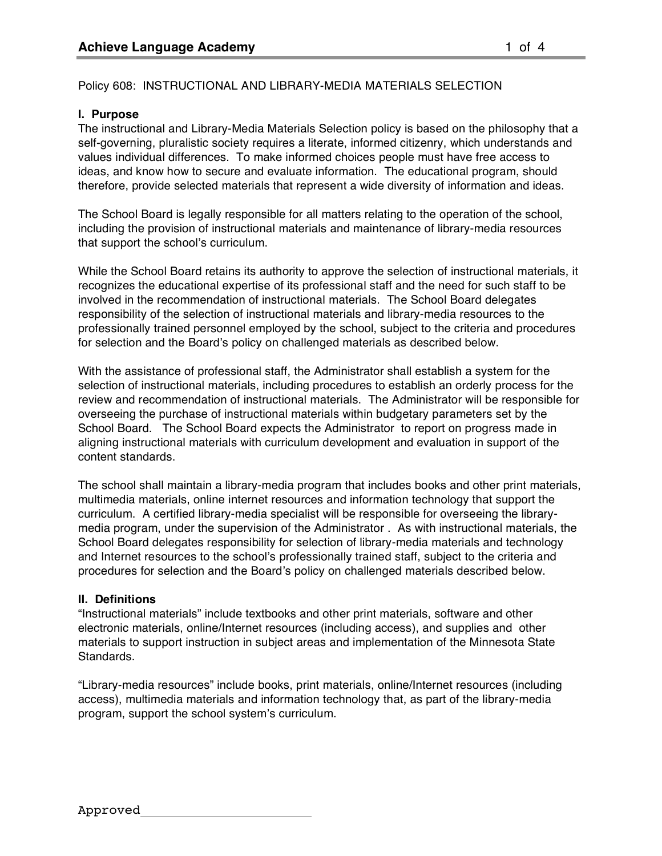# Policy 608: INSTRUCTIONAL AND LIBRARY-MEDIA MATERIALS SELECTION

## **I. Purpose**

The instructional and Library-Media Materials Selection policy is based on the philosophy that a self-governing, pluralistic society requires a literate, informed citizenry, which understands and values individual differences. To make informed choices people must have free access to ideas, and know how to secure and evaluate information. The educational program, should therefore, provide selected materials that represent a wide diversity of information and ideas.

The School Board is legally responsible for all matters relating to the operation of the school, including the provision of instructional materials and maintenance of library-media resources that support the school's curriculum.

While the School Board retains its authority to approve the selection of instructional materials, it recognizes the educational expertise of its professional staff and the need for such staff to be involved in the recommendation of instructional materials. The School Board delegates responsibility of the selection of instructional materials and library-media resources to the professionally trained personnel employed by the school, subject to the criteria and procedures for selection and the Board's policy on challenged materials as described below.

With the assistance of professional staff, the Administrator shall establish a system for the selection of instructional materials, including procedures to establish an orderly process for the review and recommendation of instructional materials. The Administrator will be responsible for overseeing the purchase of instructional materials within budgetary parameters set by the School Board. The School Board expects the Administrator to report on progress made in aligning instructional materials with curriculum development and evaluation in support of the content standards.

The school shall maintain a library-media program that includes books and other print materials, multimedia materials, online internet resources and information technology that support the curriculum. A certified library-media specialist will be responsible for overseeing the librarymedia program, under the supervision of the Administrator . As with instructional materials, the School Board delegates responsibility for selection of library-media materials and technology and Internet resources to the school's professionally trained staff, subject to the criteria and procedures for selection and the Board's policy on challenged materials described below.

#### **II. Definitions**

"Instructional materials" include textbooks and other print materials, software and other electronic materials, online/Internet resources (including access), and supplies and other materials to support instruction in subject areas and implementation of the Minnesota State Standards.

"Library-media resources" include books, print materials, online/Internet resources (including access), multimedia materials and information technology that, as part of the library-media program, support the school system's curriculum.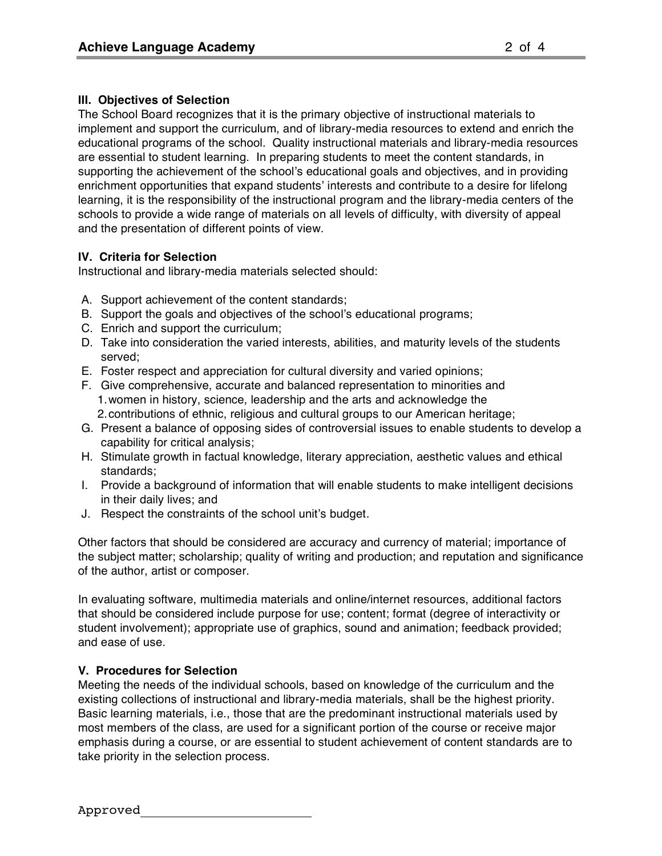## **III. Objectives of Selection**

The School Board recognizes that it is the primary objective of instructional materials to implement and support the curriculum, and of library-media resources to extend and enrich the educational programs of the school. Quality instructional materials and library-media resources are essential to student learning. In preparing students to meet the content standards, in supporting the achievement of the school's educational goals and objectives, and in providing enrichment opportunities that expand students' interests and contribute to a desire for lifelong learning, it is the responsibility of the instructional program and the library-media centers of the schools to provide a wide range of materials on all levels of difficulty, with diversity of appeal and the presentation of different points of view.

### **IV. Criteria for Selection**

Instructional and library-media materials selected should:

- A. Support achievement of the content standards;
- B. Support the goals and objectives of the school's educational programs;
- C. Enrich and support the curriculum;
- D. Take into consideration the varied interests, abilities, and maturity levels of the students served;
- E. Foster respect and appreciation for cultural diversity and varied opinions;
- F. Give comprehensive, accurate and balanced representation to minorities and 1.women in history, science, leadership and the arts and acknowledge the 2.contributions of ethnic, religious and cultural groups to our American heritage;
- G. Present a balance of opposing sides of controversial issues to enable students to develop a capability for critical analysis;
- H. Stimulate growth in factual knowledge, literary appreciation, aesthetic values and ethical standards;
- I. Provide a background of information that will enable students to make intelligent decisions in their daily lives; and
- J. Respect the constraints of the school unit's budget.

Other factors that should be considered are accuracy and currency of material; importance of the subject matter; scholarship; quality of writing and production; and reputation and significance of the author, artist or composer.

In evaluating software, multimedia materials and online/internet resources, additional factors that should be considered include purpose for use; content; format (degree of interactivity or student involvement); appropriate use of graphics, sound and animation; feedback provided; and ease of use.

# **V. Procedures for Selection**

Meeting the needs of the individual schools, based on knowledge of the curriculum and the existing collections of instructional and library-media materials, shall be the highest priority. Basic learning materials, i.e., those that are the predominant instructional materials used by most members of the class, are used for a significant portion of the course or receive major emphasis during a course, or are essential to student achievement of content standards are to take priority in the selection process.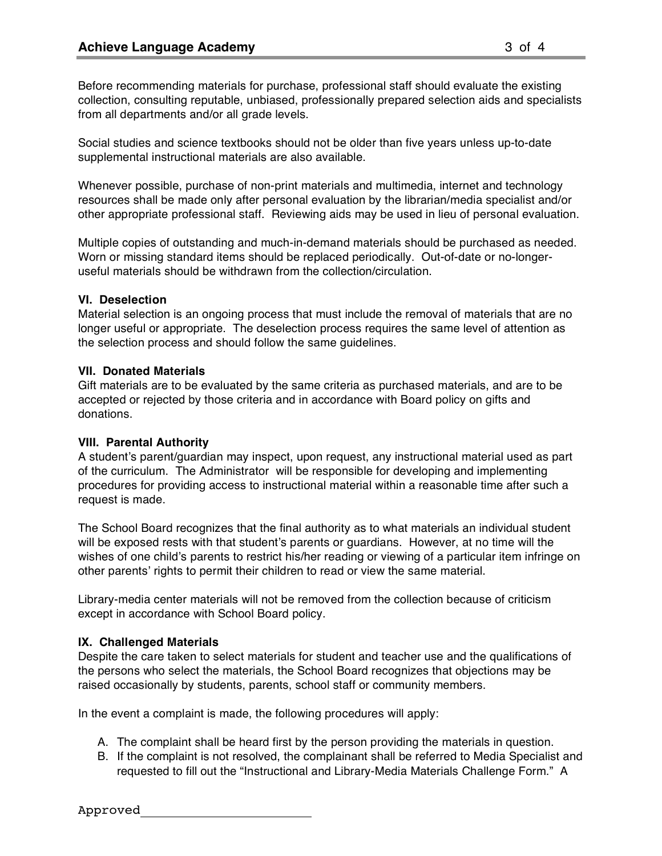Before recommending materials for purchase, professional staff should evaluate the existing collection, consulting reputable, unbiased, professionally prepared selection aids and specialists from all departments and/or all grade levels.

Social studies and science textbooks should not be older than five years unless up-to-date supplemental instructional materials are also available.

Whenever possible, purchase of non-print materials and multimedia, internet and technology resources shall be made only after personal evaluation by the librarian/media specialist and/or other appropriate professional staff. Reviewing aids may be used in lieu of personal evaluation.

Multiple copies of outstanding and much-in-demand materials should be purchased as needed. Worn or missing standard items should be replaced periodically. Out-of-date or no-longeruseful materials should be withdrawn from the collection/circulation.

#### **VI. Deselection**

Material selection is an ongoing process that must include the removal of materials that are no longer useful or appropriate. The deselection process requires the same level of attention as the selection process and should follow the same guidelines.

### **VII. Donated Materials**

Gift materials are to be evaluated by the same criteria as purchased materials, and are to be accepted or rejected by those criteria and in accordance with Board policy on gifts and donations.

#### **VIII. Parental Authority**

A student's parent/guardian may inspect, upon request, any instructional material used as part of the curriculum. The Administrator will be responsible for developing and implementing procedures for providing access to instructional material within a reasonable time after such a request is made.

The School Board recognizes that the final authority as to what materials an individual student will be exposed rests with that student's parents or guardians. However, at no time will the wishes of one child's parents to restrict his/her reading or viewing of a particular item infringe on other parents' rights to permit their children to read or view the same material.

Library-media center materials will not be removed from the collection because of criticism except in accordance with School Board policy.

# **IX. Challenged Materials**

Despite the care taken to select materials for student and teacher use and the qualifications of the persons who select the materials, the School Board recognizes that objections may be raised occasionally by students, parents, school staff or community members.

In the event a complaint is made, the following procedures will apply:

- A. The complaint shall be heard first by the person providing the materials in question.
- B. If the complaint is not resolved, the complainant shall be referred to Media Specialist and requested to fill out the "Instructional and Library-Media Materials Challenge Form." A